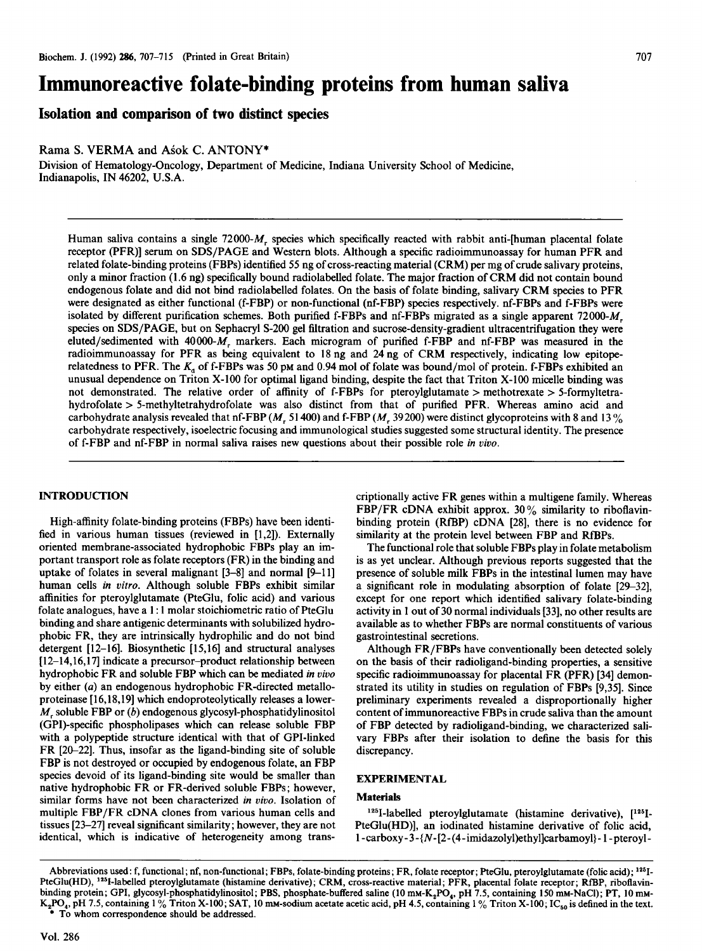# Immunoreactive folate-binding proteins from human saliva

Isolation and comparison of two distinct species

Rama S. VERMA and Asok C. ANTONY\*

Division of Hematology-Oncology, Department of Medicine, Indiana University School of Medicine, Indianapolis, IN 46202, U.S.A.

Human saliva contains <sup>a</sup> single 72000-M, species which specifically reacted with rabbit anti-[human placental folate Fruman saliva contains a single  $/2000$ - $M<sub>r</sub>$  species which specifically reacted with rabolt anti-inuman placental folate receptor (PFR)] serum on SDS/PAGE and Western blots. Although a specific radioimmunoassay for human PFR and related folate-binding proteins (FBPs) identified 55 ng of cross-reacting material (CRM) per mg of crude salivary proteins, only a minor fraction (1.6 ng) specifically bound radiolabelled folate. The major fraction of CRM did not contain bound endogenous folate and did not bind radiolabelled folates. On the basis of folate binding, salivary CRM species to PFR were designated as either functional (f-FBP) or non-functional (nf-FBP) species respectively. nf-FBPs and f-FBPs were isolated by different purification schemes. Both purified f-FBPs and nf-FBPs migrated as a single apparent  $72000-M_r$ species on SDS/PAGE, but on Sephacryl S-200 gel filtration and sucrose-density-gradient ultracentrifugation they were eluted/sedimented with 40000- $M_r$  markers. Each microgram of purified f-FBP and nf-FBP was measured in the radioimmunoassay for PFR as being equivalent to 18 ng and 24 ng of CRM respectively, indicating low epitoperelatedness to PFR. The  $K_a$  of f-FBPs was 50 pm and 0.94 mol of folate was bound/mol of protein. f-FBPs exhibited an unusual dependence on Triton X-100 for optimal ligand binding, despite the fact that Triton X-100 micelle binding was not demonstrated. The relative order of affinity of f-FBPs for pteroylglutamate > methotrexate > 5-formyltetrahydrofolate > 5-methyltetrahydrofolate was also distinct from that of purified PFR. Whereas amino acid and carbohydrate analysis revealed that nf-FBP ( $M$ , 51400) and f-FBP ( $M$ , 39200) were distinct glycoproteins with 8 and 13% carbohydrate respectively, isoelectric focusing and immunological studies suggested some structural identity. The presence of f-FBP and nf-FBP in normal saliva raises new questions about their possible role *in vivo*.

High-affinity folate-binding proteins (FBPs) have been identified in various human tissues (reviewed in  $[1,2]$ ). Externally oriented membrane-associated hydrophobic FBPs play an important transport role as folate receptors (FR) in the binding and uptake of folates in several malignant  $[3-8]$  and normal  $[9-11]$ human cells in vitro. Although soluble FBPs exhibit similar affinities for pteroylglutamate (PteGlu, folic acid) and various folate analogues, have a 1:1 molar stoichiometric ratio of PteGlu binding and share antigenic determinants with solubilized hydrophobic FR, they are intrinsically hydrophilic and do not bind detergent  $[12-16]$ . Biosynthetic  $[15,16]$  and structural analyses  $[12–14, 16, 17]$  indicate a precursor-product relationship between hydrophobic FR and soluble FBP which can be mediated in vivo by either  $(a)$  an endogenous hydrophobic FR-directed metalloproteinase [16,18,19] which endoproteolytically releases a lower- $M<sub>r</sub>$  soluble FBP or (b) endogenous glycosyl-phosphatidylinositol (GPI)-specific phospholipases which can release soluble FBP with a polypeptide structure identical with that of GPI-linked FR [20-22]. Thus, insofar as the ligand-binding site of soluble FBP is not destroyed or occupied by endogenous folate, an FBP species devoid of its ligand-binding site would be smaller than native hydrophobic FR or FR-derived soluble FBPs; however, similar forms have not been characterized in vivo. Isolation of multiple FBP/FR cDNA clones from various human cells and tissues  $[23-27]$  reveal significant similarity; however, they are not identical, which is indicative of heterogeneity among transcriptionally active FR genes within a multigene family. Whereas FBP/FR cDNA exhibit approx. 30% similarity to riboflavinbinding protein (RfBP) cDNA [28], there is no evidence for similarity at the protein level between FBP and RfBPs.

The functional role that soluble FBPs play in folate metabolism is as yet unclear. Although previous reports suggested that the presence of soluble milk FBPs in the intestinal lumen may have a significant role in modulating absorption of folate [29-32], except for one report which identified salivary folate-binding activity in 1 out of 30 normal individuals [33], no other results are available as to whether FBPs are normal constituents of various gastrointestinal secretions.

Although FR/FBPs have conventionally been detected solely on the basis of their radioligand-binding properties, a sensitive specific radioimmunoassay for placental FR (PFR) [34] demonstrated its utility in studies on regulation of FBPs [9,35]. Since preliminary experiments revealed a disproportionally higher content of immunoreactive FBPs in crude saliva than the amount of FBP detected by radioligand-binding, we characterized salivary FBPs after their isolation to define the basis for this EXPERIMENTAL

# EXPERIMENTAL

# Materials

 $125$ I-labelled pteroylglutamate (histamine derivative),  $[125]$ -PteGlu(HD)], an iodinated histamine derivative of folic acid,  $1$ -carboxy-3-{N-[2-(4-imidazolyl)ethyl]carbamoyl}-1-pteroyl-

Abbreviations used: f, functional; nf, non-functional; FBPs, folate-binding proteins; FR, folate receptor; PteGlu, pteroylglutamate (folic acid); <sup>125</sup>I-Aboreviations used. 1, functional, in, non-functional, r prs, folate-binding proteins, r R, folate receptor; r textul, pteroyigiutamate (folic acid); ---<br>PteGlu(HD), <sup>126</sup>-labelled pteroyigiutamate (histamine derivative); binding protein; GPI, glycosyl-phosphatidylinositol; PBS, phosphate-buffered saline (10 mm-K<sub>3</sub>PO<sub>4</sub>, pH 7.5, containing 150 mm-NaCl); PT, 10 mm-<br>K<sub>2</sub>PO<sub>4</sub>, pH 7.5, containing 1% Triton X-100; SAT, 10 mm-sodium acetate ac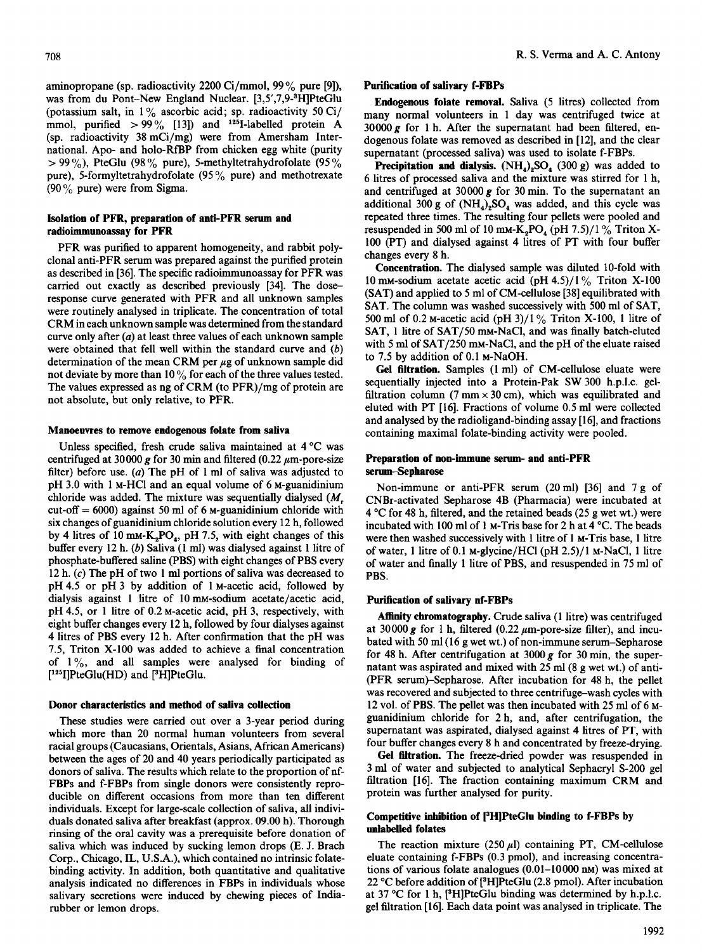aminopropane (sp. radioactivity <sup>2200</sup> Ci/mmol, <sup>99</sup> % pure [9]), was from du Pont-New England Nuclear. [3,5',7,9-3H]PteGlu (potassium salt, in  $1\%$  ascorbic acid; sp. radioactivity 50 Ci/ mmol, purified  $> 99\%$  [13]) and <sup>125</sup>I-labelled protein A (sp. radioactivity 38 mCi/mg) were from Amersham International. Apo- and holo-RfBP from chicken egg white (purity  $> 99\%$ ), PteGlu (98% pure), 5-methyltetrahydrofolate (95%) pure), 5-formyltetrahydrofolate (95 % pure) and methotrexate (90 % pure) were from Sigma.

# Isolation of PFR, preparation of anti-PFR serum and radioimmunoassay for PFR

PFR was purified to apparent homogeneity, and rabbit polyclonal anti-PFR serum was prepared against the purified protein as described in [36]. The specific radioimmunoassay for PFR was carried out exactly as described previously [34]. The doseresponse curve generated with PFR and all unknown samples were routinely analysed in triplicate. The concentration of total CRM in each unknown sample was determined from the standard curve only after  $(a)$  at least three values of each unknown sample were obtained that fell well within the standard curve and (b) determination of the mean CRM per  $\mu$ g of unknown sample did not deviate by more than  $10\%$  for each of the three values tested. The values expressed as ng of CRM (to PFR)/mg of protein are not absolute, but only relative, to PFR.

## Manoeuvres to remove endogenous folate from saliva

Unless specified, fresh crude saliva maintained at 4 °C was centrifuged at  $30000$  g for  $30$  min and filtered (0.32 , up porto-size  $f$ ilter) before use. (a) The pH of 1 ml of salive was adjusted to filter) before use. (a) The pH of 1 ml of saliva was adjusted to pH 3.0 with 1 M-HCl and an equal volume of 6 M-guanidinium  $\mu$ 1.3.0 mm mixture was added. The mixture was sequentially dialysed (Mr. 1988) chronuc was added. The mixture was sequentially dialysed  $(M_r)$ cut-off =  $6000$ ) against 50 ml of 6 M-guanidinium chloride with six changes of guanidinium chloride solution every 12 h, followed  $\frac{1}{2}$  changes of guamumum chioride solution every 12 n, followed by  $\frac{1}{2}$  have been to  $\lim_{n \to \infty} \frac{1}{n} \bigcup_{i=1}^n \bigcup_{i=1}^n \bigcup_{i=1}^n \bigcup_{i=1}^n \bigcup_{i=1}^n \bigcup_{i=1}^n \bigcup_{i=1}^n \bigcup_{i=1}^n \bigcup_{i=1}^n \bigcup_{i=1}^n \bigcup_{i=1}^n \bigcup_{i=1}^n \bigcup_{i=1}^n \bigcup_{i=1}^n \bigcup_{i=1}^n \bigcup_{i=1}^n \bigcup_{i=1}^n \bigcup_{i=1$ buffer every 12 h. (b) Saliva (1 ml) was dialysed against 1 litre of phosphate-buffered saline (PBS) with eight changes of PBS every 12 h.  $(c)$  The pH of two 1 ml portions of saliva was decreased to  $pH 4.5$  or  $pH 3$  by addition of 1 M-acetic acid, followed by dialysis against 1 litre of 10 mm-sodium acetate/acetic acid, pH 4.5, or 1 litre of 0.2 M-acetic acid, pH 3, respectively, with eight buffer changes every 12 h, followed by four dialyses against 4 litres of PBS every 12 h. After confirmation that the pH was 7.5, Triton  $X-100$  was added to achieve a final concentration of  $1\%$ , and all samples were analysed for binding of  $[1^{25}]$ PteGlu(HD) and  $[3^3$ H]PteGlu.

#### Donor characteristics and method of saliva collection These studies were carried out over a 3-year period during the second during the second during the second during the second during the second during the second during the second during the second during the second during t

I hese studies were carried out over a 3-year period during which more than 20 normal human volunteers from several racial groups (Caucasians, Orientals, Asians, African Americans) between the ages of 20 and 40 years periodically participated as donors of saliva. The results which relate to the proportion of nf-FBPs and f-FBPs from single donors were consistently reproducible on different occasions from more than ten different individuals. Except for large-scale collection of saliva, all individuals donated saliva after breakfast (approx. 09.00 h). Thorough rinsing of the oral cavity was a prerequisite before donation of saliva which was induced by sucking lemon drops (E. J. Brach Corp., Chicago, IL, U.S.A.), which contained no intrinsic folatebinding activity. In addition, both quantitative and qualitative analysis indicated no differences in FBPs in individuals whose salivary secretions were induced by chewing pieces of India-<br>rubber or lemon drops.

#### Purification of salivary f-FBPs

Endogenous folate removal. Saliva (5 litres) collected from many normal volunteers in <sup>1</sup> day was centrifuged twice at  $30000 g$  for 1 h. After the supernatant had been filtered, endogenous folate was removed as described in [12], and the clear supernatant (processed saliva) was used to isolate f-FBPs.

Precipitation and dialysis.  $(NH<sub>4</sub>)<sub>2</sub>SO<sub>4</sub>$  (300 g) was added to 6 litres of processed saliva and the mixture was stirred for <sup>1</sup> h, and centrifuged at 30000  $g$  for 30 min. To the supernatant an additional 300 g of  $(NH_4)_2SO_4$  was added, and this cycle was repeated three times. The resulting four pellets were pooled and resuspended in 500 ml of 10 mm- $K_2PO_4$  (pH 7.5)/1% Triton X-100 (PT) and dialysed against 4 litres of PT with four buffer changes every 8 h.

Concentration. The dialysed sample was diluted 10-fold with 10 mm-sodium acetate acetic acid (pH 4.5)/1 % Triton X-100 (SAT) and applied to 5 ml of CM-cellulose [38] equilibrated with SAT. The column was washed successively with 500 ml of SAT, 500 ml of 0.2 M-acetic acid (pH 3)/1 % Triton X-100, 1 litre of SAT, 1 litre of SAT/50 mm-NaCl, and was finally batch-eluted with <sup>5</sup> ml of SAT/250 mM-NaCl, and the pH of the eluate raised to 7.5 by addition of 0.1 M-NaOH.

Gel filtration. Samples (1 ml) of CM-cellulose eluate were sequentially injected into <sup>a</sup> Protein-Pak SW <sup>300</sup> h.p.l.c. gelfiltration column (7 mm  $\times$  30 cm), which was equilibrated and eluted with PT [16]. Fractions of volume 0.5 ml were collected and analysed by the radioligand-binding assay [16], and fractions containing maximal folate-binding activity were pooled.

# Preparation of non-immune serum- and anti-PFR serum-Sepharose

 $N_{\rm tot}$  immune or anti-PFR serves (20 ml)  $[36]$  and  $7$  g of  $7$  $\text{CVM}$  and  $\text{C}$  and  $\text{C}$  and  $\text{C}$  and  $\text{C}$  and  $\text{C}$  and  $\text{C}$  and  $\text{C}$  and  $\text{C}$  at  $\text{C}$  at  $\text{C}$  and  $\text{C}$  and  $\text{C}$  and  $\text{C}$  and  $\text{C}$  and  $\text{C}$  and  $\text{C}$  and  $\text{C}$  and  $\text{C}$  $\epsilon$ -constructed beginned beads (1 h, filtered, and the retained beads) were included at  $\ddot{\textbf{r}}$  C for 40 m, intered, and the retained beads (25 g wet will were incubated with 100 ml of 1 M-Tris base for 2 h at 4  $^{\circ}$ C. The beads were then washed successively with 1 litre of 1 M-Tris base, 1 litre of water, 1 litre of 0.1 M-glycine/HCl (pH  $2.5$ )/1 M-NaCl, 1 litre of water and finally 1 litre of PBS, and resuspended in 75 ml of PBS.

### Purification of salivary nf-FBPs

Affinity chromatography. Crude saliva (1 litre) was centrifuged Attituty curomatography. Crude saliva (1.1111e) was centrituged at 30000 g for 1 h, filtered (0.22  $\mu$ m-pore-size filter), and incubated with 50 ml (16 g wet wt.) of non-immune serum-Sepharose for 48 h. After centrifugation at 3000  $g$  for 30 min, the supernatant was aspirated and mixed with  $25$  ml (8 g wet wt.) of anti-(PFR serum)-Sepharose. After incubation for 48 h, the pellet was recovered and subjected to three centrifuge–wash cycles with 12 vol. of PBS. The pellet was then incubated with 25 ml of  $6 \text{ M}$ guanidinium chloride for 2 h, and, after centrifugation, the supernatant was aspirated, dialysed against 4 litres of PT, with four buffer changes every 8 h and concentrated by freeze-drying.

Gel filtration. The freeze-dried powder was resuspended in 3 ml of water and subjected to analytical Sephacryl S-200 gel filtration  $[16]$ . The fraction containing maximum CRM and protein was further analysed for purity.

# Competitive inhibition of 13HIPteGlu binding to f-FBPs by Competitive minui  $T_{\text{SUSY}}$

The reaction mixture (250  $\mu$ I) containing PT, CM-cellulose eluate containing f-FBPs (0.3 pmol), and increasing concentrations of various folate analogues  $(0.01-10000 \text{ nm})$  was mixed at 22 °C before addition of [<sup>3</sup>H]PteGlu (2.8 pmol). After incubation at 37 °C for 1 h,  $[{}^3H]$ PteGlu binding was determined by h.p.l.c. gel filtration [16]. Each data point was analysed in triplicate. The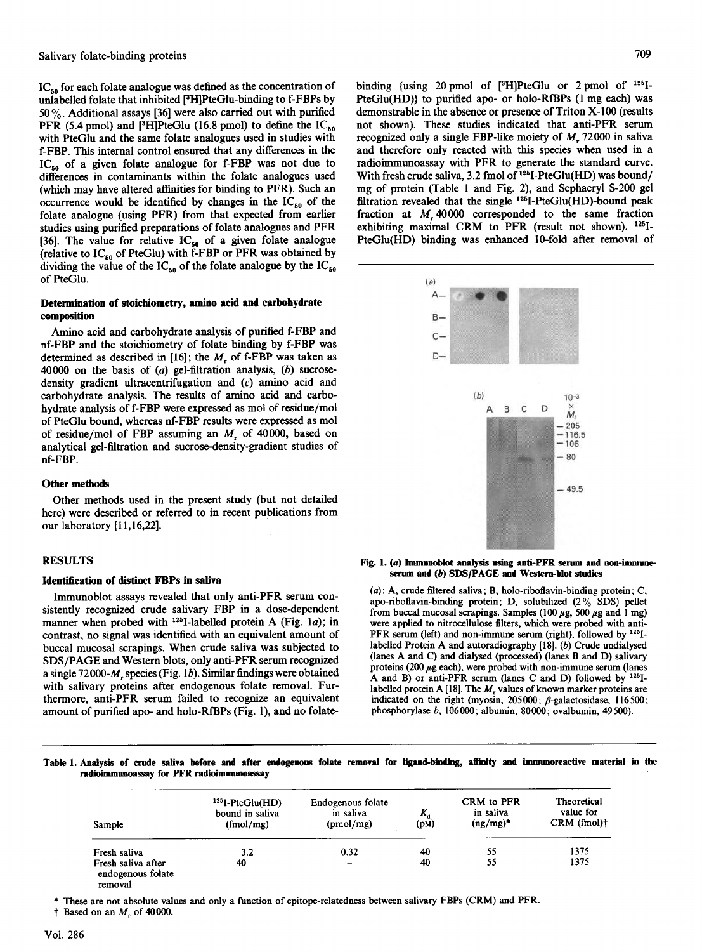$IC_{50}$  for each folate analogue was defined as the concentration of unlabelled folate that inhibited [3H]PteGlu-binding to f-FBPs by 50 %. Additional assays [36] were also carried out with purified PFR (5.4 pmol) and [<sup>3</sup>H]PteGlu (16.8 pmol) to define the  $IC_{50}$ with PteGlu and the same folate analogues used in studies with f-FBP. This internal control ensured that any differences in the  $IC_{50}$  of a given folate analogue for f-FBP was not due to differences in contaminants within the folate analogues used  $(1.1 \tcdot 1.1 \tcdot 1.0 \tcdot 1.0 \tcdot 1.0 \tcdot 1.0 \tcdot 1.0 \tcdot 1.0 \tcdot 1.0 \tcdot 1.0 \tcdot 1.0 \tcdot 1.0 \tcdot 1.0 \tcdot 1.0 \tcdot 1.0 \tcdot 1.0 \tcdot 1.0 \tcdot 1.0 \tcdot 1.0 \tcdot 1.0 \tcdot 1.0 \tcdot 1.0 \tcdot 1.0 \tcdot 1.0 \tcdot 1.0 \tcdot 1.0 \tcdot 1.0 \tcdot 1.0 \tcdot 1.0 \tcdot 1.0 \tcdot 1.0 \tcdot 1.$ which may have ancien animities for one in  $\mathcal{C}_1$ , buch an occurrence would be identified by changes in the  $IC_{50}$  of the folate analogue (using PFR) from that expected from earlier studies using purified preparations of folate analogues and PFR [36]. The value for relative  $IC_{50}$  of a given folate analogue (relative to  $IC_{50}$  of PteGlu) with f-FBP or PFR was obtained by dividing the value of the  $IC_{50}$  of the folate analogue by the  $IC_{50}$  of PteGlu.

# Determination of stoichiometry, amino acid and carbohydrate leterminativ  $\blacksquare$

Amino acid and carbonydrate analysis of purined i-FBP and nf-FBP and the stoichiometry of folate binding by f-FBP was determined as described in  $[16]$ ; the M. of f-FBP was taken as 40000 on the basis of  $(a)$  gel-filtration analysis,  $(b)$  sucrosedensity gradient ultracentrifugation and  $(c)$  amino acid and carbohydrate analysis. The results of amino acid and carbohydrate analysis of f-FBP were expressed as mol of residue/mol of PteGlu bound, whereas nf-FBP results were expressed as mol of residue/mol of FBP assuming an  $M$ , of 40000, based on analytical gel-filtration and sucrose-density-gradient studies of nf-FBP.

# Other methods used in the present study (but not detailed

Other methods used in the present study (but not detailed here) were described or referred to in recent publications from our laboratory [11,16,22].

# $\mathbf{R}$

#### Identification of distinct FBPs in saliva

Immunoblot assays revealed that only anti-PFR serum consistently recognized crude salivary FBP in a dose-dependent manner when probed with <sup>125</sup>I-labelled protein A (Fig. 1a); in contrast, no signal was identified with an equivalent amount of buccal mucosal scrapings. When crude saliva was subjected to SDS/PAGE and Western blots, only anti-PFR serum recognized a single  $72000-M$ , species (Fig. 1b). Similar findings were obtained. with salivary proteins after endogenous folate removal. Furthermore, anti-PFR serum failed to recognize an equivalent amount of purified apo- and holo-RfBPs (Fig. 1), and no folatebinding {using 20 pmol of [3H]PteGlu or 2 pmol of <sup>125</sup>I-PteGlu(HD)} to purified apo- or holo-RfBPs (1 mg each) was demonstrable in the absence or presence of Triton X- 100 (results not shown). These studies indicated that anti-PFR serum recognized only a single FBP-like moiety of  $M<sub>1</sub>$ , 72000 in saliva and therefore only reacted with this species when used in a radioimmunoassay with PFR to generate the standard curve. With fresh crude saliva, 3.2 fmol of <sup>125</sup>I-PteGlu(HD) was bound/ mg of protein (Table <sup>1</sup> and Fig. 2), and Sephacryl S-200 gel filtration revealed that the single 1251-PteGlu(HD)-bound peak fraction at  $M$ , 40000 corresponded to the same fraction<br>fraction at  $M$ , 40000 corresponded to the same fraction exhibiting maximal CRM to PFR (result not shown). <sup>125</sup>I-PteGlu(HD) binding was enhanced 10-fold after removal of



#### Fig. 1.  $(a)$  Immunoblot analysis using anti-PFR serum and non-immuneserum and  $(b)$  SDS/PAGE and Western-blot studies

 $(a)$ : A, crude filtered saliva; B, holo-riboflavin-binding protein; C, apo-riboflavin-binding protein; D, solubilized  $(2\%$  SDS) pellet from buccal mucosal scrapings. Samples (100  $\mu$ g, 500  $\mu$ g and 1 mg) were applied to nitrocellulose filters, which were probed with anti-PFR serum (left) and non-immune serum (right), followed by  $125$ <sup>1-18</sup>. labelled Protein A and autoradiography  $[18]$ . (b) Crude undialysed (lanes A and C) and dialysed (processed) (lanes B and D) salivary proteins (200  $\mu$ g each), were probed with non-immune serum (lanes A and B) or anti-PFR serum (lanes C and D) followed by  $125$ <sub>I</sub>. labelled protein A [18]. The  $M_r$  values of known marker proteins are indicated on the right (myosin, 205000;  $\beta$ -galactosidase, 116500; phosphorylase b, 106000; albumin, 80000; ovalbumin, 49500).

Table 1. Analysis of crude saliva before and after endogenous folate removal for ligand-binding, affinity and immunoreactive material in the Table 1. Analysis of crude saliva before and after endogenous folate removal for ligand-binding, affinity and immunoreactive material in the radioimmunoassay for PFR radioimmunoassay

| Sample                                  | $125$ <sub>I</sub> -PteGlu(HD)<br>bound in saliva<br>(fmol/mg) | Endogenous folate<br>in saliva<br>(pmol/mg) | Κ,<br>(pM) | CRM to PFR<br>in saliva<br>$(ng/mg)^*$ | Theoretical<br>value for<br>$CRM$ (fmol) $\dagger$ |
|-----------------------------------------|----------------------------------------------------------------|---------------------------------------------|------------|----------------------------------------|----------------------------------------------------|
| Fresh saliva                            | 3.2                                                            | 0.32                                        | 40         | 55                                     | 1375                                               |
| Fresh saliva after<br>endogenous folate | 40                                                             |                                             | 40         | 55                                     | 1375                                               |

these are not absolute values and only a function of epitope-relation of epitope-relation of epitope-relation of  $R$ 

These are not absolute values and only a function of epitope-relatedness between salivary FBPs (CRM) and PFR.

† Based on an  $M_r$  of 40000.

709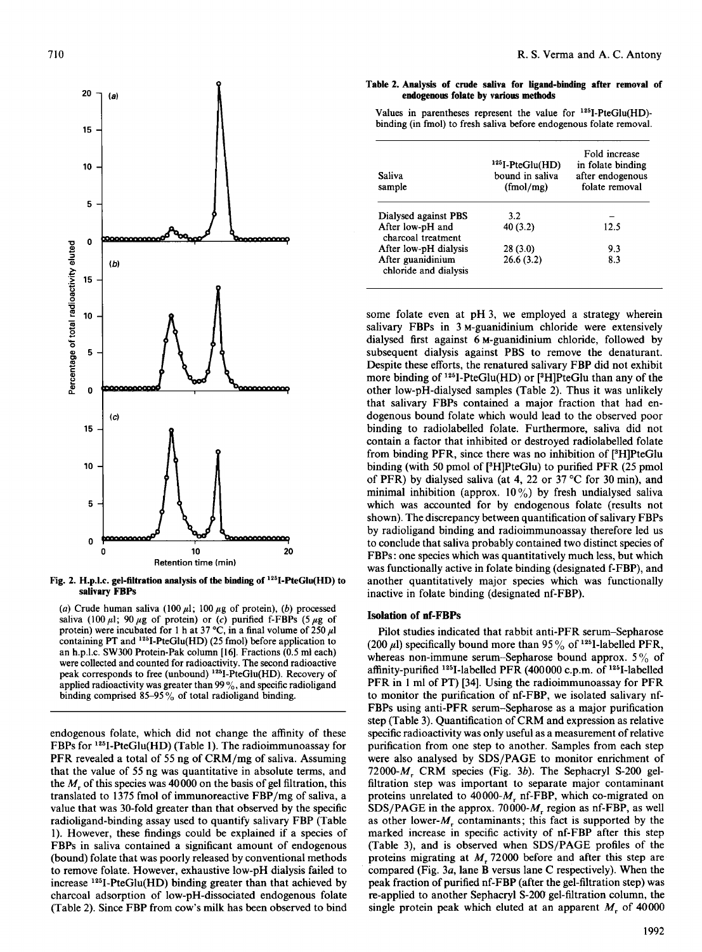

Fig. 2. H.p.l.c. gel-filtration analysis of the binding of  $125$ I-PteGlu(HD) to

 $\mathcal{L}$  Crude human saliva (100  $\mu$ ), (b) protein), (b) proteins), (b) proteins), (b) proteins), (b) proteins), (b) proteins), (b) proteins), (b) proteins), (b) proteins), (b) proteins), (b) proteins), (b) proteins), (b (a) Crude human saliva (100  $\mu$ 1; 100  $\mu$ g of protein), (b) processed saliva (100  $\mu$ l; 90  $\mu$ g of protein) or (c) purified f-FBPs (5  $\mu$ g of protein) were incubated for 1 h at 37 °C, in a final volume of 250  $\mu$ l containing PT and  $125$ I-PteGlu(HD) (25 fmol) before application to an h.p.l.c. SW300 Protein-Pak column [16]. Fractions  $(0.5 \text{ ml each})$ were collected and counted for radioactivity. The second radioactive peak corresponds to free (unbound)  $125$ <sup>I</sup>-PteGlu(HD). Recovery of applied radioactivity was greater than 99%, and specific radioligand binding.<br>binding comprised 85-95% of total radioligand binding.

endogenous folate, which did not change the affinity of these FBPs for  $125$ I-PteGlu(HD) (Table 1). The radioimmunoassay for PFR revealed a total of 55 ng of  $CRM/mg$  of saliva. Assuming that the value of 55 ng was quantitative in absolute terms, and the  $M<sub>r</sub>$  of this species was 40000 on the basis of gel filtration, this translated to 1375 fmol of immunoreactive FBP/mg of saliva, a value that was 30-fold greater than that observed by the specific radioligand-binding assay used to quantify salivary FBP (Table 1). However, these findings could be explained if a species of FBPs in saliva contained a significant amount of endogenous (bound) folate that was poorly released by conventional methods to remove folate. However, exhaustive low-pH dialysis failed to increase  $125$ I-PteGlu(HD) binding greater than that achieved by charcoal adsorption of low-pH-dissociated endogenous folate (Table 2). Since FBP from cow's milk has been observed to bind

#### Table 2. Analysis of crude saliva for ligand-binding after removal of endogenous folate by various methods

Values in parentheses represent the value for  $125$ I-PteGlu(HD)binding (in fmol) to fresh saliva before endogenous folate removal.

| Saliva<br>sample                           | $125$ I-PteGlu(HD)<br>bound in saliva<br>(fmol/mg) | Fold increase<br>in folate binding<br>after endogenous<br>folate removal |
|--------------------------------------------|----------------------------------------------------|--------------------------------------------------------------------------|
| Dialysed against PBS                       | 3.2                                                |                                                                          |
| After low-pH and<br>charcoal treatment     | 40(3.2)                                            | 12.5                                                                     |
| After low-pH dialysis                      | 28(3.0)                                            | 9.3                                                                      |
| After guanidinium<br>chloride and dialysis | 26.6(3.2)                                          | 8.3                                                                      |

some folate even at pH 3, we employed <sup>a</sup> strategy wherein salivary FBPs in 3 M-guanidinium chloride were extensively dialysed first against 6 M-guanidinium chloride, followed by subsequent dialysis against PBS to remove the denaturant. Despite these efforts, the renatured salivary FBP did not exhibit more binding of <sup>125</sup>I-PteGlu(HD) or [<sup>3</sup>H]PteGlu than any of the other low-pH-dialysed samples (Table 2). Thus it was unlikely that salivary FBPs contained a major fraction that had endogenous bound folate which would lead to the observed poor binding to radiolabelled folate. Furthermore, saliva did not contain a factor that inhibited or destroyed radiolabelled folate from a factor that inhibited of destroyed radioabelled folate From binding  $PFR$ , since there was no inhibition of  $[9H]PteG$ lu binding (with 50 pmol of [ $\text{HIPteGlu}$ ) to purified PFR (25 pmol of PFR) by dialysed saliva (at 4, 22 or 37 °C for 30 min), and of FTK) by dialysed saliva (at  $\frac{4}{3}$ , 22 of 37 C for 30 lilli), and minimal influence (applex. 10  $/0$ ) by fresult undialysed saliva which was accounted for by endogenous folate (results not shown). The discrepancy between quantification of salivary FBPs by radioligand binding and radioimmunoassay therefore led us to conclude that saliva probably contained two distinct species of FBPs: one species which was quantitatively much less, but which was functionally active in folate binding (designated f-FBP), and another quantitatively major species which was functionally inactive in folate binding (designated nf-FBP).

# Isolation of nf-FBPs

Pilot studies indicated that rabbit anti-PFR serum-Sepharose (200  $\mu$ l) specifically bound more than 95% of <sup>125</sup>I-labelled PFR, whereas non-immune serum-Sepharose bound approx.  $5\%$  of affinity-purified <sup>125</sup>I-labelled PFR  $(400000 \text{ c.p.m. of } ^{125}\text{I-labelled}$ PFR in 1 ml of PT) [34]. Using the radioimmunoassay for PFR to monitor the purification of nf-FBP, we isolated salivary nf-FBPs using anti-PFR serum-Sepharose as a major purification step (Table 3). Quantification of CRM and expression as relative specific radioactivity was only useful as a measurement of relative. purification from one step to another. Samples from each step were also analysed by SDS/PAGE to monitor enrichment of 72000- $M$ , CRM species (Fig. 3b). The Sephacryl S-200 gelfiltration step was important to separate major contaminant proteins unrelated to 40000- $M$ , nf-FBP, which co-migrated on  $SDS/PAGE$  in the approx. 70000- $M_r$  region as nf-FBP, as well as other lower- $M$ , contaminants; this fact is supported by the marked increase in specific activity of nf-FBP after this step (Table 3), and is observed when SDS/PAGE profiles of the proteins migrating at  $M$ , 72000 before and after this step are compared (Fig. 3a, lane B versus lane C respectively). When the peak fraction of purified nf-FBP (after the gel-filtration step) was re-applied to another Sephacryl S-200 gel-filtration column, the single protein peak which eluted at an apparent  $M<sub>r</sub>$  of 40000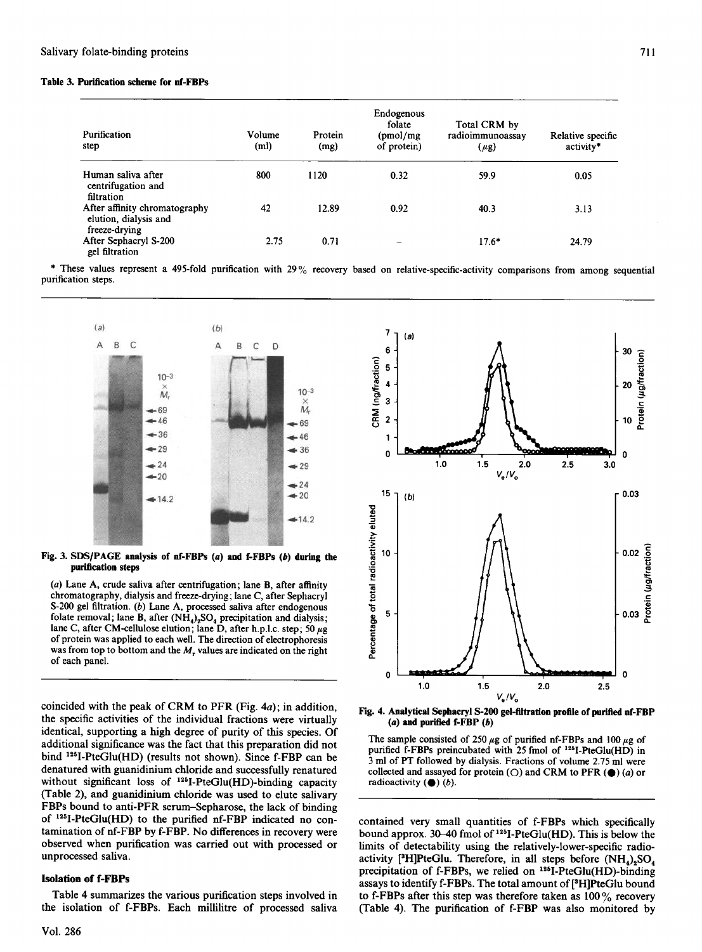## Table 3. Purification scheme for nf-FBPs

| Purification<br>step                                                    | Volume<br>(m <sub>l</sub> ) | Protein<br>(mg) | Endogenous<br>folate<br>(pmol/mg<br>of protein) | Total CRM by<br>radioimmunoassav<br>(µg) | Relative specific<br>activity* |
|-------------------------------------------------------------------------|-----------------------------|-----------------|-------------------------------------------------|------------------------------------------|--------------------------------|
| Human saliva after<br>centrifugation and<br>filtration                  | 800                         | 1120            | 0.32                                            | 59.9                                     | 0.05                           |
| After affinity chromatography<br>elution, dialysis and<br>freeze-drying | 42                          | 12.89           | 0.92                                            | 40.3                                     | 3.13                           |
| After Sephacryl S-200<br>gel filtration                                 | 2.75                        | 0.71            |                                                 | $17.6*$                                  | 24.79                          |

 $*$  These values represent a 490-fold purification with 290% recovery based on relative-specific-activity comparisons from a  $\sim$ purification states.



Fig. 3. SDS/PAGE analysis of nf-FBPs  $(a)$  and f-FBPs  $(b)$  during the  $\mathbf{v}$  and  $\mathbf{v}$  after a function; lane  $\mathbf{v}$ 

(a) Lane A, crude saliva after centrifugation; lane B, after affinity chromatography, dialysis and freeze-drying; lane C, after Sephacryl S-200 gel filtration. (b) Lane A, processed saliva after endogenous folate removal; lane B, after  $(NH_4)_2SO_4$  precipitation and dialysis; lane C, after CM-cellulose elution; lane D, after h.p.l.c. step; 50  $\mu$ g of protein was applied to each well. The direction of electrophoresis was from top to bottom and the  $M$ , values are indicated on the right of each panel.

coincided with the peak of CRM to PFR (Fig. 4a); in addition, the specific activities of the individual fractions were virtually identical, supporting a high degree of purity of this species. Of additional significance was the fact that this preparation did not bind <sup>125</sup>I-PteGlu(HD) (results not shown). Since f-FBP can be denatured with guanidinium chloride and successfully renatured without significant loss of  $^{125}$ I-PteGlu(HD)-binding capacity (Table 2), and guanidinium chloride was used to elute salivary FBPs bound to anti-PFR serum-Sepharose, the lack of binding of  $125$ I-PteGlu(HD) to the purified nf-FBP indicated no contamination of nf-FBP by f-FBP. No differences in recovery were observed when purification was carried out with processed or unprocessed saliva.

### **Isolation of f-FBPs**

Table 4 summarizes the various purification steps involved in



Fig. 4. Analytical Sephacryl S-200 gel-filtration profile of purified nf-FBP  $(a)$  and purified f-FBP  $(b)$ 

The sample consisted of 250  $\mu$ g of purified nf-FBPs and 100  $\mu$ g of First sample consisted of 250  $\mu$ g of purified in-FBFs and 100  $\mu$ g or<br>purified f-FBPs preincubated with 25 fmol of <sup>1281</sup>-PteGlu(HD) in 3 ml of PT followed by dialysis. Fractions of volume 2.75 ml were collected and assayed for protein ( $\bigcirc$ ) and CRM to PFR ( $\bigcirc$ ) (*a*) or radioactivity  $(\bullet)$  (b).

contained very small quantities of f-FBPs which specifically bound approx.  $30-40$  fmol of  $125$ I-PteGlu(HD). This is below the limits of detectability using the relatively-lower-specific radioactivity [<sup>3</sup>H]PteGlu. Therefore, in all steps before  $(NH_4)_2SO_4$ precipitation of f-FBPs, we relied on <sup>125</sup>I-PteGlu(HD)-binding assays to identify f-FBPs. The total amount of [3H]PteGlu bound to f-FBPs after this step was therefore taken as  $100\%$  recovery (Table 4). The purification of f-FBP was also monitored by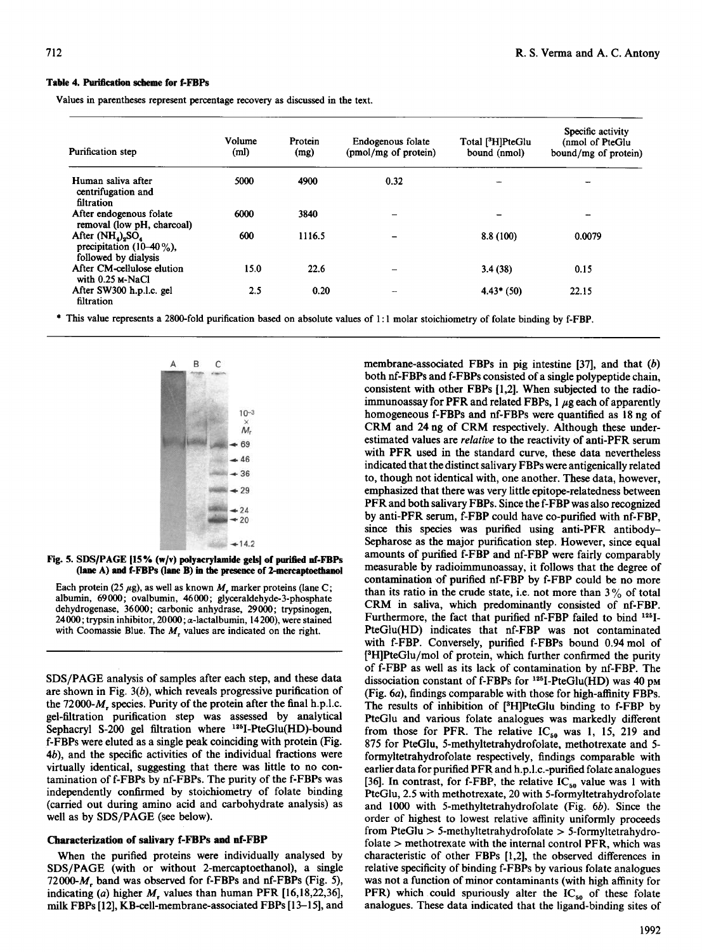## Table 4. Purification scheme for f-FBPs

Values in parentheses represent percentage recovery as discussed in the text.

| Purification step                                                                                  | Volume<br>(m <sub>l</sub> ) | Protein<br>(mg) | Endogenous folate<br>(pmol/mg of protein) | Total [ <sup>3</sup> H]PteGlu<br>bound (nmol) | Specific activity<br>(nmol of PteGlu<br>bound/mg of protein) |
|----------------------------------------------------------------------------------------------------|-----------------------------|-----------------|-------------------------------------------|-----------------------------------------------|--------------------------------------------------------------|
| Human saliva after<br>centrifugation and<br>filtration                                             | 5000                        | 4900            | 0.32                                      |                                               |                                                              |
| After endogenous folate<br>removal (low pH, charcoal)                                              | 6000                        | 3840            | -                                         |                                               |                                                              |
| After $(NH_4)$ <sub>2</sub> SO <sub>4</sub><br>precipitation $(10-40\%)$ .<br>followed by dialysis | 600                         | 1116.5          |                                           | 8.8(100)                                      | 0.0079                                                       |
| After CM-cellulose elution<br>with $0.25$ M-NaCl                                                   | 15.0                        | 22.6            | $\qquad \qquad$                           | 3.4(38)                                       | 0.15                                                         |
| After SW300 h.p.l.c. gel<br>filtration                                                             | 2.5                         | 0.20            |                                           | $4.43*(50)$                                   | 22.15                                                        |

\* This value represents a 2800-fold purification based on absolute values of 1:1 molar stoichiometry of folate binding by f-FBP.



SDS/PAGE [15% (W/V) polyacryiamide gels] of purified ni-FBPs

Each protein (25  $\mu$ g), as well as known  $M_r$  marker proteins (lane C; albumin, 69000; ovalbumin, 46000; glyceraldehyde-3-phosphate dehydrogenase, 36000; carbonic anhydrase, 29000; trypsinogen, 24000; trypsin inhibitor, 20000;  $\alpha$ -lactalbumin, 14200), were stained with Coomassie Blue. The M<sub>r</sub> values are indicated on the right.

 $\mathcal{S}$  $\mathbf{S}$ DS/PAUE analysis of samples after each step, and these data are shown in Fig.  $3(b)$ , which reveals progressive purification of the  $72000-M$ , species. Purity of the protein after the final h.p.l.c. gel-filtration purification step was assessed by analytical Sephacryl S-200 gel filtration where <sup>125</sup>I-PteGlu(HD)-bound f-FBPs were eluted as a single peak coinciding with protein (Fig.  $4b$ ), and the specific activities of the individual fractions were virtually identical, suggesting that there was little to no contamination of f-FBPs by nf-FBPs. The purity of the f-FBPs was independently confirmed by stoichiometry of folate binding (carried out during amino acid and carbohydrate analysis) as well as by SDS/PAGE (see below).

# When the purified proteins were individually and the proteins were individually analyzed by the proteins of the pro

When the purified proteins were individually analysed by SDS/PAGE (with or without 2-mercaptoethanol), a single 72000- $M$ , band was observed for f-FBPs and nf-FBPs (Fig. 5), indicating (a) higher  $M_r$  values than human PFR [16,18,22,36], milk FBPs [12], KB-cell-membrane-associated FBPs [13–15], and membrane-associated FBDs in pig integring  $[37]$ , and that  $(b)$  $\frac{1}{2}$  international consistent of a single polypeptide chain,  $\frac{1}{2}$  is a single polypeptide chain,  $\frac{1}{2}$ both nf-FBPs and f-FBPs consisted of a single polypeptide chain, consistent with other FBPs [1,2]. When subjected to the radio-<br>immunoassay for PFR and related FBPs, 1  $\mu$ g each of apparently homogeneous f-FBPs and nf-FBPs were quantified as  $18 \text{ ng of}$ <br>homogeneous f-FBPs and nf-FBPs were quantified as  $18 \text{ ng of}$ estimated values are relative to the reactivity. The reactivity of antiesumated values are *retaine* to the reactivity of anti-PFR serum with PFR used in the standard curve, these data nevertheless indicated that the distinct salivary FBPs were antigenically related to, though not identical with, one another. These data, however, emphasized that there was very little epitope-relatedness between PFR and both salivary FBPs. Since the f-FBP was also recognized by anti-PFR serum, f-FBP could have co-purified with nf-FBP. since this species was purified using anti-PFR antibody-Sepharose as the major purification step. However, since equal amounts of purified f-FBP and nf-FBP were fairly comparably measurable by radioimmunoassay, it follows that the degree of contamination of purified nf-FBP by f-FBP could be no more than its ratio in the crude state, i.e. not more than  $3\%$  of total CRM in saliva, which predominantly consisted of nf-FBP. Furthermore, the fact that purified nf-FBP failed to bind <sup>125</sup>I-PteGlu(HD) indicates that nf-FBP was not contaminated with f-FBP. Conversely, purified f-FBPs bound 0.94 mol of [<sup>3</sup>H]PteGlu/mol of protein, which further confirmed the purity of f-FBP as well as its lack of contamination by nf-FBP. The dissociation constant of f-FBPs for  $125$ -PteGlu(HD) was 40 pm (Fig. 6a), findings comparable with those for high-affinity FBPs. The results of inhibition of [<sup>3</sup>H]PteGlu binding to f-FBP by PteGlu and various folate analogues was markedly different from those for PFR. The relative  $IC_{50}$  was 1, 15, 219 and 875 for PteGlu, 5-methyltetrahydrofolate, methotrexate and 5formyltetrahydrofolate respectively, findings comparable with earlier data for purified PFR and h.p.l.c.-purified folate analogues [36]. In contrast, for f-FBP, the relative  $IC_{50}$  value was 1 with PteGlu, 2.5 with methotrexate, 20 with 5-formyltetrahydrofolate and 1000 with 5-methyltetrahydrofolate (Fig. 6b). Since the order of highest to lowest relative affinity uniformly proceeds from PteGlu  $> 5$ -methyltetrahydrofolate  $> 5$ -formyltetrahydrofolate  $>$  methotrexate with the internal control PFR, which was characteristic of other FBPs [1,2], the observed differences in relative specificity of binding f-FBPs by various folate analogues was not a function of minor contaminants (with high affinity for PFR) which could spuriously alter the  $IC_{50}$  of these folate analogues. These data indicated that the ligand-binding sites of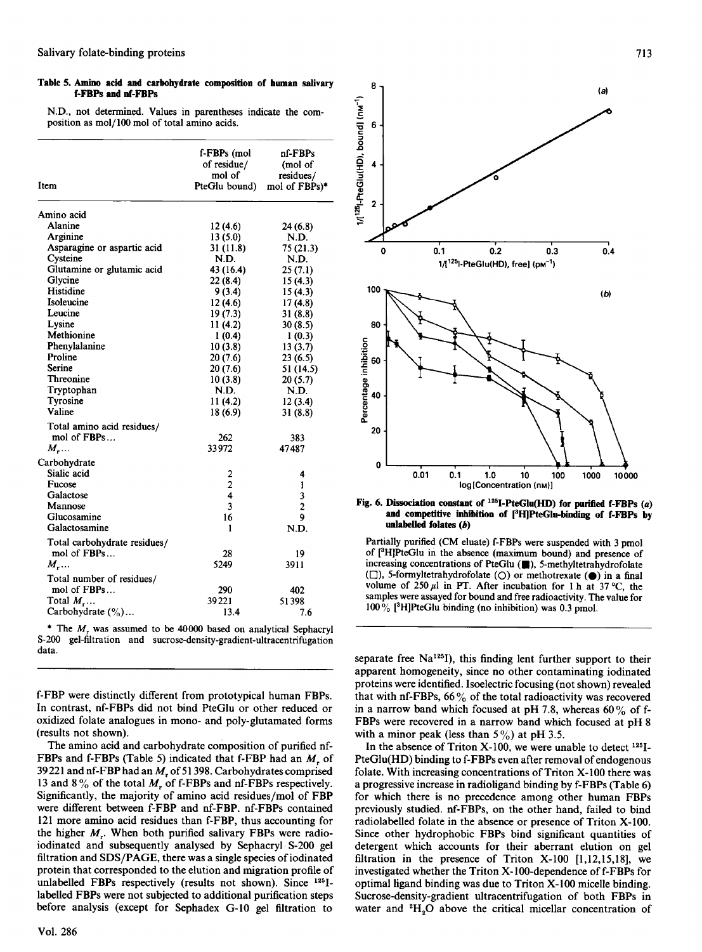### Table 5. Amino acid and carbohydrate composition of human salivary f-FBPs and nf-FBPs

N.D., not determined. Values in parentheses indicate the composition as mol/l00 mol of total amino acids.

| Item                         | f-FBPs (mol<br>of residue/<br>mol of<br>PteGlu bound) | nf-FBPs<br>(mol of<br>residues/<br>mol of FBPs)* |
|------------------------------|-------------------------------------------------------|--------------------------------------------------|
| Amino acid                   |                                                       |                                                  |
| Alanine                      | 12(4.6)                                               | 24 (6.8)                                         |
| Arginine                     | 13(5.0)                                               | N.D.                                             |
| Asparagine or aspartic acid  | 31(11.8)                                              | 75(21.3)                                         |
| Cysteine                     | N.D.                                                  | N.D.                                             |
| Glutamine or glutamic acid   | 43 (16.4)                                             | 25(7.1)                                          |
| Glycine                      | 22 (8.4)                                              | 15(4.3)                                          |
| Histidine                    | 9(3.4)                                                | 15(4.3)                                          |
| Isoleucine                   | 12(4.6)                                               | 17(4.8)                                          |
| Leucine                      | 19(7.3)                                               | 31(8.8)                                          |
| Lysine                       | 11(4.2)                                               | 30(8.5)                                          |
| Methionine                   | 1(0.4)                                                | 1(0.3)                                           |
| Phenylalanine                | 10(3.8)                                               | 13(3.7)                                          |
| Proline                      | 20(7.6)                                               | 23(6.5)                                          |
| Serine                       | 20(7.6)                                               | 51 (14.5)                                        |
| Threonine                    | 10(3.8)                                               | 20(5.7)                                          |
| Tryptophan                   | N.D.                                                  | N.D.                                             |
| Tyrosine                     | 11(4.2)                                               | 12(3.4)                                          |
| Valine                       | 18(6.9)                                               | 31(8.8)                                          |
| Total amino acid residues/   |                                                       |                                                  |
| mol of FBPs                  | 262                                                   | 383                                              |
| $M$                          | 33972                                                 | 47487                                            |
| Carbohydrate                 |                                                       |                                                  |
| Sialic acid                  | 2                                                     | 4                                                |
| Fucose                       | $\overline{c}$                                        | 1                                                |
| Galactose                    | $\overline{\mathbf{4}}$                               | 3                                                |
| Mannose                      | 3                                                     | $\overline{\mathbf{c}}$                          |
| Glucosamine                  | 16                                                    | 9                                                |
| Galactosamine                | 1                                                     | N.D.                                             |
|                              |                                                       |                                                  |
| Total carbohydrate residues/ |                                                       |                                                  |
| mol of FBPs                  | 28                                                    | 19                                               |
| $M_{\tau}$                   | 5249                                                  | 3911                                             |
| Total number of residues/    |                                                       |                                                  |
| mol of FBPs                  | 290                                                   | 402                                              |
| Total $M_{\rm r}$            | 39221                                                 | 51398                                            |
| Carbohydrate $(\% ) \dots$   | 13.4                                                  | 7.6                                              |

\* The  $M$ , was assumed to be 40000 based on analytical Sephacryl S-200 gel-filtration and sucrose-density-gradient-ultracentrifugation data.

f-FBP were distinctly different from prototypical human FBPs. In contrast, nf-FBPs did not bind PteGlu or other reduced or oxidized folate analogues in mono- and poly-glutamated forms (results not shown).

The amino acid and carbohydrate composition of purified nf-FBPs and f-FBPs (Table 5) indicated that f-FBP had an  $M<sub>r</sub>$  of 39 221 and nf-FBP had an  $M<sub>r</sub>$  of 51 398. Carbohydrates comprised 13 and 8% of the total  $M<sub>r</sub>$  of f-FBPs and nf-FBPs respectively. Significantly, the majority of amino acid residues/mol of FBP. were different between f-FBP and nf-FBP, nf-FBPs contained 121 more amino acid residues than f-FBP, thus accounting for the higher  $M_r$ . When both purified salivary FBPs were radioiodinated and subsequently analysed by Sephacryl S-200 gel filtration and SDS/PAGE, there was a single species of iodinated protein that corresponded to the elution and migration profile of unlabelled FBPs respectively (results not shown). Since <sup>125</sup>Ilabelled FBPs were not subjected to additional purification steps before analysis (except for Sephadex G-10 gel filtration to



Fig. 6. Dissociation constant of  $^{125}$ I-PteGlu(HD) for purified f-FBPs (a) and competitive inhibition of [3H]PteGlu-binding of f-FBPs by unlabelled folates  $(b)$ 

Partially purified (CM eluate) f-FBPs were suspended with 3 pmol of [<sup>3</sup>H]PteGlu in the absence (maximum bound) and presence of increasing concentrations of PteGlu ( $\blacksquare$ ), 5-methyltetrahydrofolate  $(\square)$ , 5-formyltetrahydrofolate  $(\bigcirc)$  or methotrexate  $(\bigcirc)$  in a final volume of 250  $\mu$ l in PT. After incubation for 1 h at 37 °C, the samples were assayed for bound and free radioactivity. The value for 100% [<sup>3</sup>H]PteGlu binding (no inhibition) was 0.3 pmol.

separate free Na<sup>125</sup>I), this finding lent further support to their apparent homogeneity, since no other contaminating iodinated proteins were identified. Isoelectric focusing (not shown) revealed that with nf-FBPs, 66% of the total radioactivity was recovered in a narrow band which focused at pH 7.8, whereas 60% of f-FBPs were recovered in a narrow band which focused at pH 8. with a minor peak (less than  $5\%$ ) at pH 3.5.

In the absence of Triton X-100, we were unable to detect  $^{125}$ I-PteGlu(HD) binding to f-FBPs even after removal of endogenous folate. With increasing concentrations of Triton X-100 there was a progressive increase in radioligand binding by f-FBPs (Table 6) for which there is no precedence among other human FBPs previously studied. nf-FBPs, on the other hand, failed to bind radiolabelled folate in the absence or presence of Triton X-100. Since other hydrophobic FBPs bind significant quantities of detergent which accounts for their aberrant elution on gel filtration in the presence of Triton X-100  $[1,12,15,18]$ , we investigated whether the Triton  $X-100$ -dependence of f-FBPs for optimal ligand binding was due to Triton X-100 micelle binding. Sucrose-density-gradient ultracentrifugation of both FBPs in water and <sup>2</sup>H<sub>2</sub>O above the critical micellar concentration of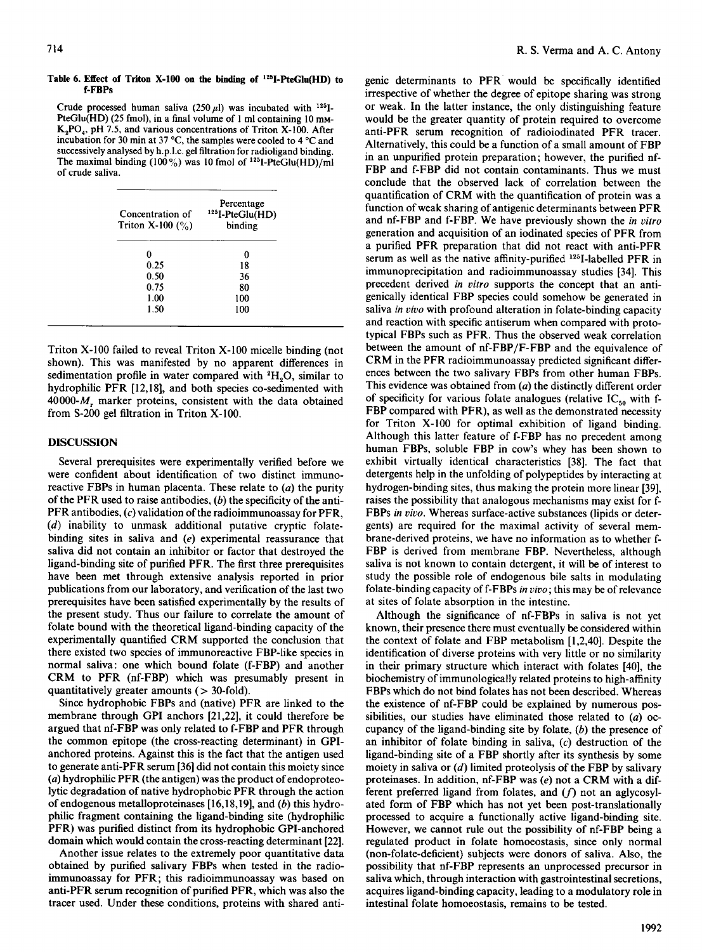#### Table 6. Effect of Triton X-100 on the binding of '25I-PteGlu(HD) to f-FBPs

Crude processed human saliva (250  $\mu$ l) was incubated with <sup>125</sup>I-PteGlu(HD) (25 fmol), in a final volume of 1 ml containing 10 mm- $K<sub>2</sub>PO<sub>4</sub>$ , pH 7.5, and various concentrations of Triton X-100. After incubation for 30 min at 37 °C, the samples were cooled to 4 °C and successively analysed by h.p.l.c. gel filtration for radioligand binding. The maximal binding  $(100\%)$  was 10 fmol of <sup>125</sup>I-PteGlu(HD)/ml of crude saliva.

| Concentration of<br>Triton X-100 $(\% )$ | Percentage<br><sup>125</sup> I-PteGlu(HD)<br>binding |
|------------------------------------------|------------------------------------------------------|
| 0                                        | 0                                                    |
| 0.25                                     | 18                                                   |
| 0.50                                     | 36                                                   |
| 0.75                                     | 80                                                   |
| 1.00                                     | 100                                                  |
| 1.50                                     | 100                                                  |

Triton X-100 failed to reveal Triton X-100 micelle binding (not shown). This was manifested by no apparent differences in sedimentation profile in water compared with <sup>2</sup>H<sub>2</sub>O, similar to hydrophilic PFR [12,18], and both species co-sedimented with 40000- $M$ , marker proteins, consistent with the data obtained from S-200 gel filtration in Triton X-100.

# DISCUSSION

Several prerequisites were experimentally verified before we several prefequences were experimentally verified before we were connuent about including for two distinct immunoreactive FBPs in human placenta. These relate to  $(a)$  the purity of the PFR used to raise antibodies,  $(b)$  the specificity of the anti-PFR antibodies,  $(c)$  validation of the radioimmunoassay for PFR,  $(d)$  inability to unmask additional putative cryptic folatebinding sites in saliva and  $(e)$  experimental reassurance that saliva did not contain an inhibitor or factor that destroyed the ligand-binding site of purified PFR. The first three prerequisites have been met through extensive analysis reported in prior publications from our laboratory, and verification of the last two prerequisites have been satisfied experimentally by the results of the present study. Thus our failure to correlate the amount of folate bound with the theoretical ligand-binding capacity of the experimentally quantified CRM supported the conclusion that there existed two species of immunoreactive FBP-like species in normal saliva: one which bound folate (f-FBP) and another CRM to PFR (nf-FBP) which was presumably present in quantitatively greater amounts ( $>$  30-fold).

Since hydrophobic FBPs and (native) PFR are linked to the membrane through GPI anchors [21,22], it could therefore be argued that nf-FBP was only related to f-FBP and PFR through the common epitope (the cross-reacting determinant) in GPIanchored proteins. Against this is the fact that the antigen used to generate anti-PFR serum [36] did not contain this moiety since  $\alpha$ ) hydrophilic PFR (the antigen) was the product of endoproteolytic degradation of native hydrophobic PFR through the action of endogenous metalloproteinases  $[16, 18, 19]$ , and (b) this hydrophilic fragment containing the ligand-binding site (hydrophilic PFR) was purified distinct from its hydrophobic GPI-anchored domain which would contain the cross-reacting determinant [22].

Another issue relates to the extremely poor quantitative data obtained by purified salivary FBPs when tested in the radioimmunoassay for PFR; this radioimmunoassay was based on anti-PFR serum recognition of purified PFR, which was also the tracer used. Under these conditions, proteins with shared anti-

genic determinants to PFR would be specifically identified irrespective of whether the degree of epitope sharing was strong or weak. In the latter instance, the only distinguishing feature would be the greater quantity of protein required to overcome anti-PFR serum recognition of radioiodinated PFR tracer. Alternatively, this could be a function of a small amount of FBP in an unpurified protein preparation; however, the purified nf-FBP and f-FBP did not contain contaminants. Thus we must conclude that the observed lack of correlation between the quantification of CRM with the quantification of protein was <sup>a</sup> function of weak sharing of antigenic determinants between PFR and nf-FBP and f-FBP. We have previously shown the in vitro generation and acquisition of an iodinated species of PFR from <sup>a</sup> purified PFR preparation that did not react with anti-PFR serum as well as the native affinity-purified <sup>125</sup>I-labelled PFR in immunoprecipitation and radioimmunoassay studies [34]. This precedent derived in vitro supports the concept that an antigenically identical FBP species could somehow be generated in saliva in vivo with profound alteration in  $f(x) = 1 + 1$  $\frac{1}{2}$  and  $\frac{1}{2}$  are  $\frac{1}{2}$  and  $\frac{1}{2}$  and  $\frac{1}{2}$  and proto- $\frac{1}{2}$  and proto- $\frac{1}{2}$  and proto- $\frac{1}{2}$  and protoand reaction with specific antiserum when compared with proto-<br>typical FBPs such as PFR. Thus the observed weak correlation between the amount of nf-FBP/F-FBP and the equivalence of  $\mathsf{CEPA}$  in the amount of nf-FBP/F-FBP and the equivalence of CRM in the PFR radioimmunoassay predicted significant differences between the two salivary FBPs from other human FBPs. This evidence was obtained from  $\frac{1}{2}$  the different order order order order order order order order order order order order order order order order order order order order order order order order order order order ord  $\epsilon$  specific was obtained from  $\mu$  the districtly different order of specificity for various folate analogues (relative  $IC_{50}$  with f-FBP compared with PFR), as well as the demonstrated necessity for Triton X-100 for optimal exhibition of ligand binding. Although this latter feature of f-FBP has no precedent among human FBPs, soluble FBP in cow's whey has been shown to exhibit virtually identical characteristics [38]. The fact that  $\alpha$  in the unitary included characteristics [50]. The fact that detergents neip in the unfortung of polypeptities by interacting at hydrogen-binding sites, thus making the protein more linear [39], raises the possibility that analogous mechanisms may exist for f-FBPs in vivo. Whereas surface-active substances (lipids or detergents) are required for the maximal activity of several membrane-derived proteins, we have no information as to whether f-FBP is derived from membrane FBP. Nevertheless, although saliva is not known to contain detergent, it will be of interest to study the possible role of endogenous bile salts in modulating folate-binding capacity of f-FBPs in vivo; this may be of relevance at sites of folate absorption in the intestine.

Although the significance of nf-FBPs in saliva is not yet known, their presence there must eventually be considered within the context of folate and FBP metabolism [1,2,40]. Despite the identification of diverse proteins with very little or no similarity in their primary structure which interact with folates [40], the biochemistry of immunologically related proteins to high-affinity FBPs which do not bind folates has not been described. Whereas the existence of nf-FBP could be explained by numerous possibilities, our studies have eliminated those related to  $(a)$  occupancy of the ligand-binding site by folate,  $(b)$  the presence of an inhibitor of folate binding in saliva,  $(c)$  destruction of the ligand-binding site of a FBP shortly after its synthesis by some moiety in saliva or  $(d)$  limited proteolysis of the FBP by salivary proteinases. In addition, nf-FBP was  $(e)$  not a CRM with a different preferred ligand from folates, and  $(f)$  not an aglycosylated form of FBP which has not yet been post-translationally processed to acquire a functionally active ligand-binding site. However, we cannot rule out the possibility of nf-FBP being a regulated product in folate homoeostasis, since only normal (non-folate-deficient) subjects were donors of saliva. Also, the possibility that nf-FBP represents an unprocessed precursor in saliva which, through interaction with gastrointestinal secretions, acquires ligand-binding capacity, leading to a modulatory role in intestinal folate homoeostasis, remains to be tested.